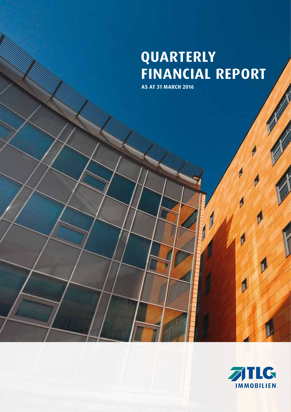# **QUARTERLY FINANCIAL REPORT**

 $\sqrt{\frac{2}{3}}$ 

**AS AT 31 MARCH 2016**



**SILLER SERVICE**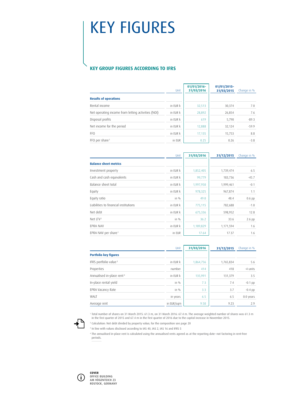# KEY FIGURES

# **KEY GROUP FIGURES ACCORDING TO IFRS**

|                                                    | Unit     | $01/01/2016 -$<br>31/03/2016 | 01/01/2015-<br>31/03/2015 | Change in % |
|----------------------------------------------------|----------|------------------------------|---------------------------|-------------|
| <b>Results of operations</b>                       |          |                              |                           |             |
| Rental income                                      | in EUR k | 32,513                       | 30,374                    | 7.0         |
| Net operating income from letting activities (NOI) | in EUR k | 28,892                       | 26,854                    | 7.6         |
| Disposal profits                                   | in EUR k | 619                          | 5,790                     | $-89.3$     |
| Net income for the period                          | in EUR k | 12,888                       | 32.124                    | $-59.9$     |
| FFO                                                | in EUR k | 17,135                       | 15,753                    | 8.8         |
| FFO per share <sup>1</sup>                         | in EUR   | 0.25                         | 0.26                      | $-3.8$      |

|                                       | Unit     | 31/03/2016 | 31/12/2015 | Change in % |
|---------------------------------------|----------|------------|------------|-------------|
| <b>Balance sheet metrics</b>          |          |            |            |             |
| Investment property                   | in EUR k | 1,852,405  | 1,739,474  | 6.5         |
| Cash and cash equivalents             | in EUR k | 99,779     | 183,736    | $-45.7$     |
| Balance sheet total                   | in EUR k | 1,997,950  | 1,999,461  | $-0.1$      |
| Equity                                | in EUR k | 978,325    | 967,874    | 1.1         |
| Equity ratio                          | in $%$   | 49.0       | 48.4       | $0.6$ pp    |
| Liabilities to financial institutions | in EUR k | 775,115    | 782,688    | $-1.0$      |
| Net debt                              | in EUR k | 675,336    | 598,952    | 12.8        |
| Net $LTV2$                            | in $%$   | 36.2       | 33.6       | 2.6 pp      |
| EPRA NAV                              | in EUR k | 1,189,829  | 1,171,594  | 1.6         |
| EPRA NAV per share <sup>1</sup>       | in EUR   | 17.64      | 17.37      | 1.6         |

|                                       | Unit       | 31/03/2016 | 31/12/2015 | Change in % |
|---------------------------------------|------------|------------|------------|-------------|
| <b>Portfolio key figures</b>          |            |            |            |             |
| IFRS portfolio value <sup>3</sup>     | in EUR k   | 1,864,756  | 1,765,834  | 5.6         |
| Properties                            | number     | 414        | 418        | -4 units    |
| Annualised in-place rent <sup>4</sup> | in EUR k   | 135.991    | 131,379    | 3.5         |
| In-place rental yield                 | in %       | 7.3        | 7.4        | $-0.1$ pp   |
| EPRA Vacancy Rate                     | in %       | 3.3        | 3.7        | $-0.4$ pp   |
| WALT                                  | in years   | 6.5        | 6.5        | 0.0 years   |
| Average rent                          | in EUR/sam | 9.50       | 9.23       | 2.9         |



<sup>1</sup> Total number of shares on 31 March 2015: 61.3 m, on 31 March 2016: 67.4 m. The average weighted number of shares was 61.3 m in the first quarter of 2015 and 67.4 m in the first quarter of 2016 due to the capital increase in November 2015.

2  [Calculation: Net debt divided by property value; for the composition see page 20](#page-21-0)

3 In line with values disclosed according to IAS 40, IAS 2, IAS 16 and IFRS 5

<sup>4</sup> The annualised in-place rent is calculated using the annualised rents agreed as at the reporting date–not factoring in rent-free periods.



**COVER** OFFICE BUILDING AM VÖGENTEICH 23 ROSTOCK, GERMANY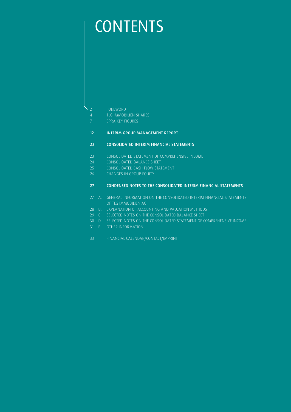# **CONTENTS**

2 FOREWORD

- 4 TLG IMMOBILIEN SHARES
- 7 EPRA KEY FIGURES

# 12 INTERIM GROUP MANAGEMENT REPORT

# 22 CONSOLIDATED INTERIM FINANCIAL STATEMENTS

- 23 CONSOLIDATED STATEMENT OF COMPREHENSIVE INCOME
- 24 CONSOLIDATED BALANCE SHEET
- 25 CONSOLIDATED CASH FLOW STATEMENT
- 26 CHANGES IN GROUP EQUITY

## 27 CONDENSED NOTES TO THE CONSOLIDATED INTERIM FINANCIAL STATEMENTS

- 27 A. GENERAL INFORMATION ON THE CONSOLIDATED INTERIM FINANCIAL STATEMENTS OF TLG IMMOBILIEN AG
- 28 B. EXPLANATION OF ACCOUNTING AND VALUATION METHODS
- 29 C. SELECTED NOTES ON THE CONSOLIDATED BALANCE SHEET
- 30 D. SELECTED NOTES ON THE CONSOLIDATED STATEMENT OF COMPREHENSIVE INCOME
- 31 E. OTHER INFORMATION
- 33 FINANCIAL CALENDAR/CONTACT/IMPRINT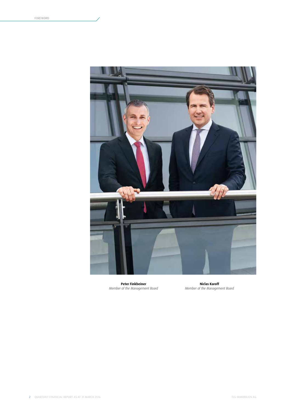

**Peter Finkbeiner** *Member of the Management Board*

**Niclas Karoff** *Member of the Management Board*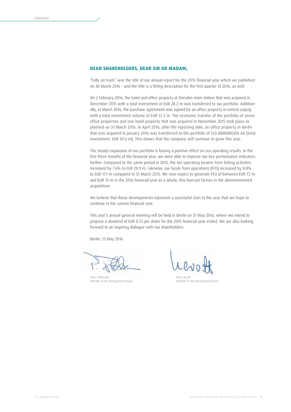## **DEAR SHAREHOLDERS, DEAR SIR OR MADAM,**

"Fully on track" was the title of our annual report for the 2015 financial year which we published on 30 March 2016 – and the title is a fitting description for the first quarter of 2016, as well.

On 2 February 2016, the hotel and office property at Dresden main station that was acquired in December 2015 with a total investment of EUR 28.2 m was transferred to our portfolio. Additionally, in March 2016, the purchase agreement was signed for an office property in central Leipzig with a total investment volume of EUR 57.2 m. The economic transfer of the portfolio of seven office properties and one hotel property that was acquired in November 2015 took place as planned on 31 March 2016. In April 2016, after the reporting date, an office property in Berlin that was acquired in January 2016 was transferred to the portfolio of TLG IMMOBILIEN AG (total investment: EUR 50.6 m). This shows that the company will continue to grow this year.

The steady expansion of our portfolio is having a positive effect on our operating results. In the first three months of the financial year, we were able to improve our key performance indicators further. Compared to the same period in 2015, the net operating income from letting activities increased by 7.6% to EUR 28.9 m. Likewise, our funds from operations (FFO) increased by 8.8% to EUR 17.1 m compared to 31 March 2015. We now expect to generate FFO of between EUR 72 m and EUR 74 m in the 2016 financial year as a whole; this forecast factors in the aforementioned acquisitions.

We believe that these developments represent a successful start to the year that we hope to continue in the current financial year.

This year's annual general meeting will be held in Berlin on 31 May 2016, where we intend to propose a dividend of EUR 0.72 per share for the 2015 financial year ended. We are also looking forward to an inspiring dialogue with our shareholders.

Berlin, 13 May 2016

Peter Finkbeiner Member of the Management Board

Niclas Karoff Member of the Management Board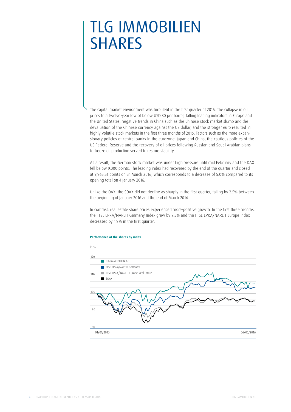# TLG IMMOBILIEN **SHARES**

The capital market environment was turbulent in the first quarter of 2016. The collapse in oil prices to a twelve-year low of below USD 30 per barrel, falling leading indicators in Europe and the United States, negative trends in China such as the Chinese stock market slump and the devaluation of the Chinese currency against the US dollar, and the stronger euro resulted in highly volatile stock markets in the first three months of 2016. Factors such as the more expansionary policies of central banks in the eurozone, Japan and China, the cautious policies of the US Federal Reserve and the recovery of oil prices following Russian and Saudi Arabian plans to freeze oil production served to restore stability.

As a result, the German stock market was under high pressure until mid February and the DAX fell below 9,000 points. The leading index had recovered by the end of the quarter and closed at 9,965.51 points on 31 March 2016, which corresponds to a decrease of 5.0% compared to its opening total on 4 January 2016.

Unlike the DAX, the SDAX did not decline as sharply in the first quarter, falling by 2.5% between the beginning of January 2016 and the end of March 2016.

In contrast, real estate share prices experienced more-positive growth. In the first three months, the FTSE EPRA/NAREIT Germany Index grew by 9.5% and the FTSE EPRA/NAREIT Europe Index decreased by 1.9% in the first quarter.

#### **Performance of the shares by index**

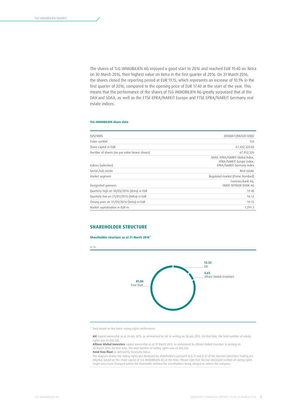The shares of TLG IMMOBILIEN AG enjoyed a good start to 2016 and reached EUR 19.40 on Xetra on 30 March 2016, their highest value on Xetra in the first quarter of 2016. On 31 March 2016, the shares closed the reporting period at EUR 19.15, which represents an increase of 10.1% in the first quarter of 2016, compared to the opening price of EUR 17.40 at the start of the year. This means that the performance of the shares of TLG IMMOBILIEN AG greatly surpassed that of the DAX and SDAX, as well as the FTSE EPRA/NAREIT Europe and FTSE EPRA/NAREIT Germany real estate indices.

#### **TLG IMMOBILIEN share data**

| ISIN/WKN                                      | DE000A12B8Z4/A12B8Z                                                                       |
|-----------------------------------------------|-------------------------------------------------------------------------------------------|
| Ticker symbol                                 | TLG                                                                                       |
| Share capital in EUR                          | 67,432,326.00                                                                             |
| Number of shares (no-par-value bearer shares) | 67,432,326                                                                                |
| Indices (selection)                           | SDAX, EPRA/NAREIT Global Index,<br>EPRA/NAREIT Europe Index,<br>EPRA/NAREIT Germany Index |
| Sector/sub-sector                             | Real estate                                                                               |
| Market segment                                | Regulated market (Prime Standard)                                                         |
| Designated sponsors                           | Commerzbank AG.<br>ODDO SEYDLER BANK AG                                                   |
| Quarterly high on 30/03/2016 (Xetra) in EUR   | 19.40                                                                                     |
| Quarterly low on 21/01/2016 (Xetra) in EUR    | 16.12                                                                                     |
| Closing price on 31/03/2016 (Xetra) in EUR    | 19.15                                                                                     |
| Market capitalisation in EUR m                | 1,291.3                                                                                   |

## **SHAREHOLDER STRUCTURE**

#### **Shareholder structure as at 31 March 2016\***



\* Data based on the latest voting rights notifications.

**GIC** capital ownership as at 24 July 2015, as announced by GIC in writing on 28 July 2015. On that date, the total number of voting rights was 61,302,326.

**Allianz Global Investors** capital ownership as at 19 March 2015, as announced by Allianz Global Investors in writing on 20 March 2015. On that date, the total number of voting rights was 61,302,326. **Total free float** as defined by Deutsche Börse.

The diagram shows the voting rights last disclosed by shareholders pursuant to § 21 and § 22 of the German Securities Trading Act (WpHG), based on the share capital of TLG IMMOBILIEN AG at the time. Please note that the last disclosed number of voting rights might since have changed within the thresholds without the shareholders being obliged to inform the company.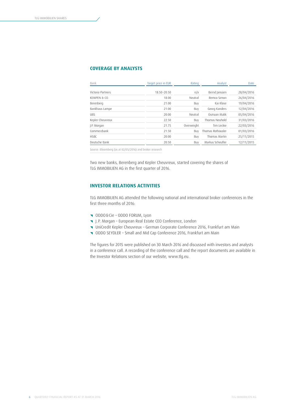# **COVERAGE BY ANALYSTS**

| Bank              | Target price in EUR | Rating     | Analyst           | Date       |
|-------------------|---------------------|------------|-------------------|------------|
| Victoria Partners | 18.50-20.50         | n/a        | Bernd Janssen     | 28/04/2016 |
| KEMPEN & CO.      | 18.00               | Neutral    | Remco Simon       | 26/04/2016 |
| Berenberg         | 21.00               | Buy        | Kai Klose         | 19/04/2016 |
| Bankhaus Lampe    | 21.00               | Buy        | Georg Kanders     | 12/04/2016 |
| <b>UBS</b>        | 20.00               | Neutral    | Osmaan Malik      | 05/04/2016 |
| Kepler Cheuvreux  | 22.50               | Buy        | Thomas Neuhold    | 31/03/2016 |
| J.P. Morgan       | 21.75               | Overweight | Tim Leckie        | 22/03/2016 |
| Commerzbank       | 21.50               | Buy        | Thomas Rothäusler | 01/03/2016 |
| <b>HSBC</b>       | 20.00               | Buy        | Thomas Martin     | 25/11/2015 |
| Deutsche Bank     | 20.50               | Buy        | Markus Scheufler  | 12/11/2015 |

Source: Bloomberg (as at 02/05/2016) and broker research

Two new banks, Berenberg and Kepler Cheuvreux, started covering the shares of TLG IMMOBILIEN AG in the first quarter of 2016.

# **INVESTOR RELATIONS ACTIVITIES**

TLG IMMOBILIEN AG attended the following national and international broker conferences in the first three months of 2016:

- { ODDO&Cie ODDO FORUM, Lyon
- { J.P. Morgan European Real Estate CEO Conference, London
- { UniCredit Kepler Cheuvreux German Corporate Conference 2016, Frankfurt am Main
- { ODDO SEYDLER Small and Mid Cap Conference 2016, Frankfurt am Main

The figures for 2015 were published on 30 March 2016 and discussed with investors and analysts in a conference call. A recording of the conference call and the report documents are available in the Investor Relations section of our website, www.tlg.eu.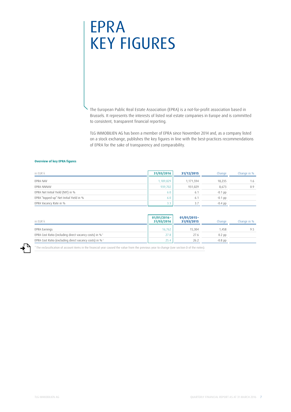# EPRA KEY FIGURES

The European Public Real Estate Association (EPRA) is a not-for-profit association based in Brussels. It represents the interests of listed real estate companies in Europe and is committed to consistent, transparent financial reporting.

TLG IMMOBILIEN AG has been a member of EPRA since November 2014 and, as a company listed on a stock exchange, publishes the key figures in line with the best-practices recommendations of EPRA for the sake of transparency and comparability.

#### **Overview of key EPRA figures**

| in EUR k                                | 31/03/2016 | 31/12/2015 | Change    | Change in % |
|-----------------------------------------|------------|------------|-----------|-------------|
| EPRA NAV                                | 1,189,829  | 1.171.594  | 18.235    | 1.6         |
| EPRA NNNAV                              | 939,702    | 931,029    | 8.673     | 0.9         |
| EPRA Net Initial Yield (NIY) in %       | 6.0        | 6.         | $-0.1$ pp |             |
| EPRA "topped-up" Net Initial Yield in % | 6.0        | 6.         | $-0.1$ pp |             |
| EPRA Vacancy Rate in %                  | 3.3        | 3.7        | $-0.4$ pp |             |

| in EUR k                                                           | $01/01/2016 -$<br>31/03/2016 | $01/01/2015 -$<br>31/03/2015 | Change     | Change in % |
|--------------------------------------------------------------------|------------------------------|------------------------------|------------|-------------|
| EPRA Earnings                                                      | 16.762                       | 15.304                       | 1.458      | 9.5         |
| EPRA Cost Ratio (including direct vacancy costs) in % <sup>1</sup> | 27.8                         | 27.6                         | $0.2$ $pp$ |             |
| EPRA Cost Ratio (excluding direct vacancy costs) in % <sup>1</sup> | 25.4                         | 26.2                         | $-0.8$ pp  |             |

<sup>1</sup> The reclassification of account items in the financial year caused the value from the previous year to change (see section D of the notes).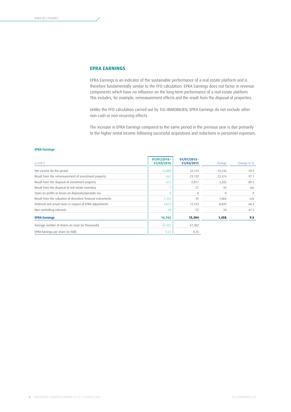# **EPRA EARNINGS**

EPRA Earnings is an indicator of the sustainable performance of a real estate platform and is therefore fundamentally similar to the FFO calculation. EPRA Earnings does not factor in revenue components which have no influence on the long-term performance of a real estate platform. This includes, for example, remeasurement effects and the result from the disposal of properties.

Unlike the FFO calculation carried out by TLG IMMOBILIEN, EPRA Earnings do not exclude other non-cash or non-recurring effects.

The increase in EPRA Earnings compared to the same period in the previous year is due primarily to the higher rental income following successful acquisitions and reductions in personnel expenses.

#### **EPRA Earnings**

| in EUR k                                                      | $01/01/2016 -$<br>31/03/2016 | $01/01/2015 -$<br>31/03/2015 | Change       | Change in % |
|---------------------------------------------------------------|------------------------------|------------------------------|--------------|-------------|
| Net income for the period                                     | 12,888                       | 32,124                       | $-19,236$    | $-59.9$     |
| Result from the remeasurement of investment property          | $-665$                       | $-23,139$                    | 22,474       | $-97.1$     |
| Result from the disposal of investment property               | $-612$                       | $-5,817$                     | 5,205        | $-89.5$     |
| Result from the disposal of real estate inventory             |                              | 27                           | $-34$        | n/a         |
| Taxes on profits or losses on disposals/aperiodic tax         | $\Omega$                     | $\Omega$                     | $\mathbf{0}$ | $\Omega$    |
| Result from the valuation of derivative financial instruments | 1,123                        | 59                           | 1,064        | n/a         |
| Deferred and actual taxes in respect of EPRA adjustments      | 4,073                        | 12,122                       | $-8,049$     | $-66.4$     |
| Non-controlling interests                                     | $-38$                        | $-72$                        | 34           | $-47.2$     |
| <b>EPRA Earnings</b>                                          | 16,762                       | 15,304                       | 1,458        | 9.5         |
| Average number of shares on issue (in thousands)              | 67,432                       | 61,302                       |              |             |
| EPRA Earnings per share (in EUR)                              | 0.25                         | 0.25                         |              |             |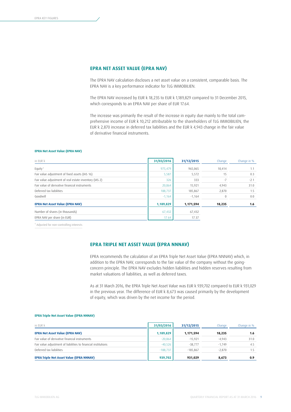# **EPRA NET ASSET VALUE (EPRA NAV)**

The EPRA NAV calculation discloses a net asset value on a consistent, comparable basis. The EPRA NAV is a key performance indicator for TLG IMMOBILIEN.

The EPRA NAV increased by EUR k 18,235 to EUR k 1,189,829 compared to 31 December 2015, which corresponds to an EPRA NAV per share of EUR 17.64.

The increase was primarily the result of the increase in equity due mainly to the total comprehensive income of EUR k 10,212 attributable to the shareholders of TLG IMMOBILIEN, the EUR k 2,870 increase in deferred tax liabilities and the EUR k 4,943 change in the fair value of derivative financial instruments.

#### **EPRA Net Asset Value (EPRA NAV)**

| in EUR k                                               | 31/03/2016 | 31/12/2015 | Change   | Change in % |
|--------------------------------------------------------|------------|------------|----------|-------------|
| Equity <sup>1</sup>                                    | 975,479    | 965,065    | 10,414   | 1.1         |
| Fair value adjustment of fixed assets (IAS 16)         | 5,587      | 5,572      | 15       | 0.3         |
| Fair value adjustment of real estate inventory (IAS 2) | 326        | 333        | $-7$     | $-2.1$      |
| Fair value of derivative financial instruments         | 20,864     | 15,921     | 4,943    | 31.0        |
| Deferred tax liabilities                               | 188,737    | 185,867    | 2,870    | 1.5         |
| Goodwill                                               | $-1,164$   | $-1,164$   | $\Omega$ | 0.0         |
| <b>EPRA Net Asset Value (EPRA NAV)</b>                 | 1,189,829  | 1,171,594  | 18,235   | 1.6         |
| Number of shares (in thousands)                        | 67,432     | 67,432     |          |             |
| EPRA NAV per share (in EUR)                            | 17.64      | 17.37      |          |             |

1 Adjusted for non-controlling interests

# **EPRA TRIPLE NET ASSET VALUE (EPRA NNNAV)**

EPRA recommends the calculation of an EPRA Triple Net Asset Value (EPRA NNNAV) which, in addition to the EPRA NAV, corresponds to the fair value of the company without the goingconcern principle. The EPRA NAV excludes hidden liabilities and hidden reserves resulting from market valuations of liabilities, as well as deferred taxes.

As at 31 March 2016, the EPRA Triple Net Asset Value was EUR k 939,702 compared to EUR k 931,029 in the previous year. The difference of EUR k 8,673 was caused primarily by the development of equity, which was driven by the net income for the period.

#### **EPRA Triple Net Asset Value (EPRA NNNAV)**

| in EUR k                                                       | 31/03/2016 | 31/12/2015 | Change   | Change in % |
|----------------------------------------------------------------|------------|------------|----------|-------------|
| <b>EPRA Net Asset Value (EPRA NAV)</b>                         | 1,189,829  | 1,171,594  | 18,235   | 1.6         |
| Fair value of derivative financial instruments                 | $-20,864$  | $-15.921$  | $-4.943$ | 31.0        |
| Fair value adjustment of liabilities to financial institutions | $-40,526$  | $-38.777$  | $-1.749$ | 4.5         |
| Deferred tax liabilities                                       | $-188.737$ | $-185.867$ | $-2.870$ | 1.5         |
| <b>EPRA Triple Net Asset Value (EPRA NNNAV)</b>                | 939,702    | 931.029    | 8,673    | 0.9         |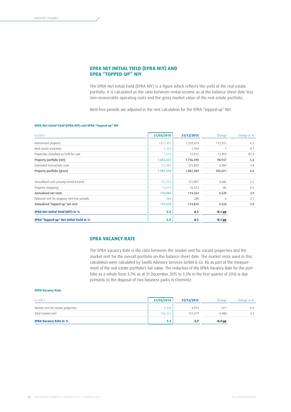# **EPRA NET INITIAL YIELD (EPRA NIY) AND EPRA "TOPPED-UP" NIY**

The EPRA Net Initial Yield (EPRA NIY) is a figure which reflects the yield of the real estate portfolio. It is calculated as the ratio between rental income as at the balance sheet date less non-recoverable operating costs and the gross market value of the real estate portfolio.

Rent-free periods are adjusted in the rent calculation for the EPRA "topped-up" NIY.

## **EPRA Net Initial Yield (EPRA NIY) and EPRA "topped-up" NIY**

| in EUR k                                    | 31/03/2016 | 31/12/2015 | Change    | Change in % |
|---------------------------------------------|------------|------------|-----------|-------------|
| Investment property                         | 1,852,405  | 1,739,474  | 112,931   | 6.5         |
| Real estate inventory                       | 1,103      | 1,104      | -1        | $-0.1$      |
| Properties classified as held for sale      | 1,919      | 15,912     | $-13,993$ | $-87.9$     |
| Property portfolio (net)                    | 1,855,427  | 1,756,490  | 98,937    | 5.6         |
| Estimated transaction costs                 | 131,983    | 125,899    | 6,084     | 4.8         |
| Property portfolio (gross)                  | 1,987,410  | 1,882,389  | 105,021   | 5.6         |
| Annualised cash passing rental income       | 135,703    | 131,097    | 4,606     | 3.5         |
| Property outgoings                          | $-16,619$  | $-16,533$  | $-86$     | 0.5         |
| Annualised net rents                        | 119,084    | 114,564    | 4,520     | 3.9         |
| Notional rent for ongoing rent-free periods | 286        | 280        | 6         | 2.1         |
| Annualised "topped-up" net rent             | 119,370    | 114,844    | 4,526     | 3.9         |
| <b>EPRA Net Initial Yield (NIY) in %</b>    | 6.0        | 6.1        | -0.1 pp   |             |
| EPRA "topped-up" Net Initial Yield in %     | 6.0        | 6.1        | $-0.1$ pp |             |

# **EPRA VACANCY RATE**

The EPRA Vacancy Rate is the ratio between the market rent for vacant properties and the market rent for the overall portfolio on the balance sheet date. The market rents used in this calculation were calculated by Savills Advisory Services GmbH & Co. KG as part of the measurement of the real estate portfolio's fair value. The reduction of the EPRA Vacancy Rate for the portfolio as a whole from 3.7% as at 31 December 2015 to 3.3% in the first quarter of 2016 is due primarily to the disposal of two business parks in Chemnitz.

#### **EPRA Vacancy Rate**

| in EUR k                          | 31/03/2016 | 31/12/2015 | Change        | Change in % |
|-----------------------------------|------------|------------|---------------|-------------|
| Market rent for vacant properties | 4.448      | 4.919      | $-47^{\circ}$ | -9.6        |
| Total market rent                 | 136.167    | 131.679    | 4.488         | 3.4         |
| <b>EPRA Vacancy Rate in %</b>     | 3.3        | 3.,        | $-0.4$ pp     |             |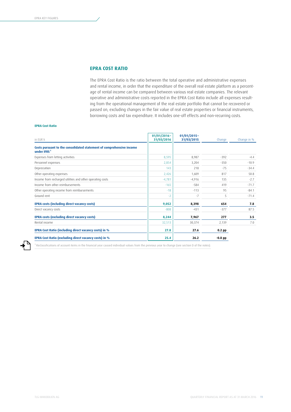# **EPRA COST RATIO**

The EPRA Cost Ratio is the ratio between the total operative and administrative expenses and rental income, in order that the expenditure of the overall real estate platform as a percentage of rental income can be compared between various real estate companies. The relevant operative and administrative costs reported in the EPRA Cost Ratio include all expenses resulting from the operational management of the real estate portfolio that cannot be recovered or passed on, excluding changes in the fair value of real estate properties or financial instruments, borrowing costs and tax expenditure. It includes one-off effects and non-recurring costs.

#### **EPRA Cost Ratio**

| in EUR k                                                                                        | $01/01/2016 -$<br>31/03/2016 | $01/01/2015 -$<br>31/03/2015 | Change     | Change in % |
|-------------------------------------------------------------------------------------------------|------------------------------|------------------------------|------------|-------------|
| Costs pursuant to the consolidated statement of comprehensive income<br>under IFRS <sup>1</sup> |                              |                              |            |             |
| Expenses from letting activities                                                                | 8,595                        | 8,987                        | $-392$     | $-4.4$      |
| Personnel expenses                                                                              | 2,854                        | 3,204                        | $-350$     | $-10.9$     |
| Depreciation                                                                                    | 143                          | 218                          | $-75$      | $-34.4$     |
| Other operating expenses                                                                        | 2,426                        | 1,609                        | 817        | 50.8        |
| Income from recharged utilities and other operating costs                                       | $-4,781$                     | $-4,916$                     | 135        | $-2.7$      |
| Income from other reimbursements                                                                | $-165$                       | $-584$                       | 419        | $-71.7$     |
| Other operating income from reimbursements                                                      | $-18$                        | $-113$                       | 95         | $-84.1$     |
| Ground rent                                                                                     | $-2$                         | -7                           | 5          | $-71.4$     |
| <b>EPRA costs (including direct vacancy costs)</b>                                              | 9,052                        | 8,398                        | 654        | 7.8         |
| Direct vacancy costs                                                                            | $-808$                       | $-431$                       | $-377$     | 87.5        |
| <b>EPRA costs (excluding direct vacancy costs)</b>                                              | 8,244                        | 7,967                        | 277        | 3.5         |
| Rental income                                                                                   | 32,513                       | 30,374                       | 2,139      | 7.0         |
| EPRA Cost Ratio (including direct vacancy costs) in %                                           | 27.8                         | 27.6                         | $0.2$ $pp$ |             |
| EPRA Cost Ratio (excluding direct vacancy costs) in %                                           | 25.4                         | 26.2                         | $-0.8$ pp  |             |

<sup>1</sup> [Reclassifications of account items in the financial year caused individual values from the previous year to change \(see section D of the notes\).](#page-31-0)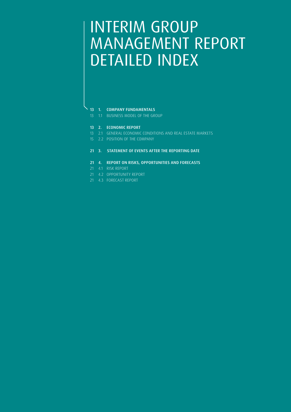# INTERIM GROUP MANAGEMENT REPORT DETAILED INDEX

# 13 1. COMPANY FUNDAMENTALS

13 1.1 BUSINESS MODEL OF THE GROUP

## 13 2. ECONOMIC REPORT

- 13 2.1 GENERAL ECONOMIC CONDITIONS AND REAL ESTATE MARKETS
- 15 2.2 POSITION OF THE COMPANY

# 21 3. STATEMENT OF EVENTS AFTER THE REPORTING DATE

# 21 4. REPORT ON RISKS, OPPORTUNITIES AND FORECASTS

- 21 4.1 RISK REPORT
- 21 4.2 OPPORTUNITY REPORT
- 21 4.3 FORECAST REPORT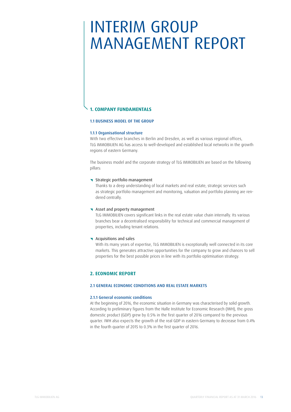# INTERIM GROUP MANAGEMENT REPORT

# **1. COMPANY FUNDAMENTALS**

# 1.1 BUSINESS MODEL OF THE GROUP

## 1.1.1 Organisational structure

With two effective branches in Berlin and Dresden, as well as various regional offices, TLG IMMOBILIEN AG has access to well-developed and established local networks in the growth regions of eastern Germany.

The business model and the corporate strategy of TLG IMMOBILIEN are based on the following pillars:

# **\** Strategic portfolio management

Thanks to a deep understanding of local markets and real estate, strategic services such as strategic portfolio management and monitoring, valuation and portfolio planning are rendered centrally.

## K Asset and property management

TLG IMMOBILIEN covers significant links in the real estate value chain internally. Its various branches bear a decentralised responsibility for technical and commercial management of properties, including tenant relations.

## **K** Acquisitions and sales

With its many years of expertise, TLG IMMOBILIEN is exceptionally well connected in its core markets. This generates attractive opportunities for the company to grow and chances to sell properties for the best possible prices in line with its portfolio optimisation strategy.

# **2. ECONOMIC REPORT**

## 2.1 GENERAL ECONOMIC CONDITIONS AND REAL ESTATE MARKETS

## 2.1.1 General economic conditions

At the beginning of 2016, the economic situation in Germany was characterised by solid growth. According to preliminary figures from the Halle Institute for Economic Research (IWH), the gross domestic product (GDP) grew by 0.5% in the first quarter of 2016 compared to the previous quarter. IWH also expects the growth of the real GDP in eastern Germany to decrease from 0.4% in the fourth quarter of 2015 to 0.3% in the first quarter of 2016.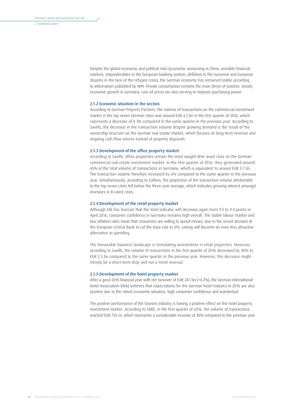Despite the global economic and political risks (economic worsening in China, unstable financial markets, imponderables in the European banking system, deflation in the eurozone and European disunity in the face of the refugee crisis), the German economy has remained stable according to information published by IWH. Private consumption remains the main driver of positive, steady economic growth in Germany. Low oil prices are also serving to improve purchasing power.

#### 2.1.2 Economic situation in the sectors

According to German Property Partners, the volume of transactions on the commercial investment market in the top seven German cities was around EUR 4.2 bn in the first quarter of 2016, which represents a decrease of 8.3% compared to the same quarter in the previous year. According to Savills, the decrease in the transaction volume despite growing demand is the result of the ownership structure on the German real estate market, which focuses on long-term revenue and ongoing cash flow returns instead of property disposals.

#### 2.1.3 Development of the office property market

According to Savills, office properties remain the most sought-after asset class on the German commercial real estate investment market. In the first quarter of 2016, they generated around 45% of the total volume of transactions in Germany, which is equivalent to around EUR 3.7 bn. The transaction volume therefore increased by 6% compared to the same quarter in the previous year. Simultaneously, according to Colliers, the proportion of the transaction volume attributable to the top seven cities fell below the three-year average, which indicates growing interest amongst investors in B-rated cities.

#### 2.1.4 Development of the retail property market

Although Gfk has forecast that the total indicator will decrease again from 9.5 to 9.4 points in April 2016, consumer confidence in Germany remains high overall. The stable labour market and low inflation rates mean that consumers are willing to spend money. Due to the recent decision of the European Central Bank to cut the base rate to 0%, saving will become an even less attractive alternative to spending.

The favourable business landscape is stimulating investments in retail properties. However, according to Savills, the volume of transactions in the first quarter of 2016 decreased by 40% to EUR 2.2 bn compared to the same quarter in the previous year. However, this decrease might merely be a short-term drop and not a trend reversal.

#### 2.1.5 Development of the hotel property market

After a good 2015 financial year with net turnover of EUR 24.1 bn (+4.2%), the German International Hotel Association (IHA) believes that expectations for the German hotel industry in 2016 are also positive due to the robust economic situation, high consumer confidence and wanderlust.

The positive performance of the tourism industry is having a positive effect on the hotel property investment market. According to CBRE, in the first quarter of 2016, the volume of transactions reached EUR 750 m, which represents a considerable increase of 30% compared to the previous year.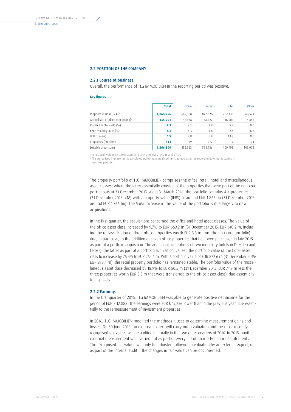## 2.2 POSITION OF THE COMPANY

## 2.2.1 Course of business

Overall, the performance of TLG IMMOBILIEN in the reporting period was positive.

#### **Key figures**

|                                               | <b>Total</b> | Office  | Retail  | Hotel   | Other   |
|-----------------------------------------------|--------------|---------|---------|---------|---------|
| Property value (EUR k) <sup>1</sup>           | 1,864,756    | 669,168 | 872,628 | 262,436 | 60,524  |
| Annualised in-place rent (EUR k) <sup>2</sup> | 135,991      | 46,978  | 68,127  | 16,001  | 4,885   |
| In-place rental yield (%)                     | 7.3          | 7.1     | 7.8     | 5.9     | 8.0     |
| EPRA Vacancy Rate (%)                         | 3.3          | 5.3     | 1.6     | 2.8     | 6.6     |
| WALT (years)                                  | 6.5          | 4.8     | 5.8     | 13.8    | 8.5     |
| Properties (number)                           | 414          | 59      | 277     |         | 71      |
| Lettable area (sqm)                           | 1,266,800    | 455,363 | 598.936 | 109.498 | 103,003 |

1 In line with values disclosed according to IAS 40, IAS 2, IAS 16 and IFRS 5

<sup>2</sup> The annualised in-place rent is calculated using the annualised rents agreed as at the reporting date, not factoring in rent-free periods.

The property portfolio of TLG IMMOBILIEN comprises the office, retail, hotel and miscellaneous asset classes, where the latter essentially consists of the properties that were part of the non-core portfolio as at 31 December 2015. As at 31 March 2016, the portfolio contains 414 properties (31 December 2015: 418) with a property value (IFRS) of around EUR 1.865 bn (31 December 2015: around EUR 1.766 bn). The 5.6% increase in the value of the portfolio is due largely to new acquisitions.

In the first quarter, the acquisitions concerned the office and hotel asset classes. The value of the office asset class increased by 9.7% to EUR 669.2 m (31 December 2015: EUR 610.2 m, including the reclassification of three office properties worth EUR 3.3 m from the non-core portfolio) due, in particular, to the addition of seven office properties that had been purchased in late 2015 as part of a portfolio acquisition. The additional acquisitions of two inner-city hotels in Dresden and Leipzig, the latter as part of a portfolio acquisition, caused the portfolio value of the hotel asset class to increase by 26.4% to EUR 262.4 m. With a portfolio value of EUR 872.6 m (31 December 2015: EUR 873.4 m), the retail property portfolio has remained stable. The portfolio value of the miscellaneous asset class decreased by 18.9% to EUR 60.5 m (31 December 2015: EUR 74.7 m less the three properties worth EUR 3.3 m that were transferred to the office asset class), due essentially to disposals.

## 2.2.2 Earnings

In the first quarter of 2016, TLG IMMOBILIEN was able to generate positive net income for the period of EUR k 12,888. The earnings were EUR k 19,236 lower than in the previous year, due essentially to the remeasurement of investment properties.

In 2016, TLG IMMOBILIEN modified the methods it uses to determine measurement gains and losses. On 30 June 2016, an external expert will carry out a valuation and the most recently recognised fair values will be audited internally in the two other quarters of 2016. In 2015, another external measurement was carried out as part of every set of quarterly financial statements. The recognised fair values will only be adjusted following a valuation by an external expert, or as part of the internal audit if the changes in fair value can be documented.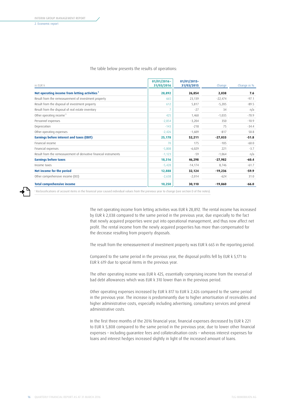#### The table below presents the results of operations:

| in EUR k                                                          | $01/01/2016 -$<br>31/03/2016 | $01/01/2015-$<br>31/03/2015 | Change    | Change in % |
|-------------------------------------------------------------------|------------------------------|-----------------------------|-----------|-------------|
| Net operating income from letting activities <sup>1</sup>         | 28,892                       | 26,854                      | 2,038     | 7.6         |
| Result from the remeasurement of investment property              | 665                          | 23,139                      | $-22,474$ | $-97.1$     |
| Result from the disposal of investment property                   | 612                          | 5,817                       | $-5,205$  | $-89.5$     |
| Result from the disposal of real estate inventory                 |                              | $-27$                       | 34        | n/a         |
| Other operating income <sup>1</sup>                               | 425                          | 1,460                       | $-1,035$  | $-70.9$     |
| Personnel expenses                                                | $-2,854$                     | $-3,204$                    | 350       | $-10.9$     |
| Depreciation                                                      | $-143$                       | $-218$                      | 75        | $-34.4$     |
| Other operating expenses                                          | $-2,426$                     | $-1,609$                    | $-817$    | 50.8        |
| Earnings before interest and taxes (EBIT)                         | 25,178                       | 52,211                      | $-27,033$ | $-51.8$     |
| Financial income                                                  | 70                           | 175                         | $-105$    | $-60.0$     |
| Financial expenses                                                | $-5,808$                     | $-6,029$                    | 221       | $-3.7$      |
| Result from the remeasurement of derivative financial instruments | $-1,123$                     | $-59$                       | $-1,064$  | n/a         |
| <b>Earnings before taxes</b>                                      | 18,316                       | 46,298                      | $-27,982$ | $-60.4$     |
| Income taxes                                                      | $-5,428$                     | $-14,174$                   | 8,746     | $-61.7$     |
| Net income for the period                                         | 12,888                       | 32,124                      | $-19,236$ | $-59.9$     |
| Other comprehensive income (OCI)                                  | $-2,638$                     | $-2,014$                    | $-624$    | 31.0        |
| <b>Total comprehensive income</b>                                 | 10,250                       | 30,110                      | $-19,860$ | $-66.0$     |

1  [Reclassifications of account items in the financial year caused individual values from the previous year to change \(see section D of the notes\).](#page-31-0)

The net operating income from letting activities was EUR k 28,892. The rental income has increased by EUR k 2,038 compared to the same period in the previous year, due especially to the fact that newly acquired properties were put into operational management, and thus now affect net profit. The rental income from the newly acquired properties has more than compensated for the decrease resulting from property disposals.

The result from the remeasurement of investment property was EUR k 665 in the reporting period.

Compared to the same period in the previous year, the disposal profits fell by EUR k 5,171 to EUR k 619 due to special items in the previous year.

The other operating income was EUR k 425, essentially comprising income from the reversal of bad debt allowances which was EUR k 310 lower than in the previous period.

Other operating expenses increased by EUR k 817 to EUR k 2,426 compared to the same period in the previous year. The increase is predominantly due to higher amortisation of receivables and higher administrative costs, especially including advertising, consultancy services and general administrative costs.

In the first three months of the 2016 financial year, financial expenses decreased by EUR k 221 to EUR k 5,808 compared to the same period in the previous year, due to lower other financial expenses – including guarantee fees and collateralisation costs – whereas interest expenses for loans and interest hedges increased slightly in light of the increased amount of loans.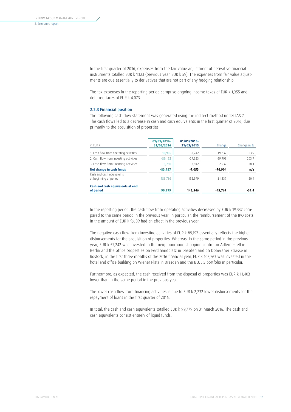In the first quarter of 2016, expenses from the fair value adjustment of derivative financial instruments totalled EUR k 1,123 (previous year: EUR k 59). The expenses from fair value adjustments are due essentially to derivatives that are not part of any hedging relationship.

The tax expenses in the reporting period comprise ongoing income taxes of EUR k 1,355 and deferred taxes of EUR k 4,073.

#### 2.2.3 Financial position

The following cash flow statement was generated using the indirect method under IAS 7. The cash flows led to a decrease in cash and cash equivalents in the first quarter of 2016, due primarily to the acquisition of properties.

| in FUR k                                            | $01/01/2016 -$<br>31/03/2016 | $01/01/2015-$<br>31/03/2015 | Change    | Change in % |
|-----------------------------------------------------|------------------------------|-----------------------------|-----------|-------------|
| 1. Cash flow from operating activities              | 10,905                       | 30,242                      | $-19.337$ | $-63.9$     |
| 2. Cash flow from investing activities              | $-89,152$                    | $-29.353$                   | $-59.799$ | 203.7       |
| 3. Cash flow from financing activities              | $-5.710$                     | $-7.942$                    | 2.232     | $-28.1$     |
| Net change in cash funds                            | $-83,957$                    | $-7,053$                    | $-76.904$ | n/a         |
| Cash and cash equivalents<br>at beginning of period | 183.736                      | 152.599                     | 31.137    | 20.4        |
| Cash and cash equivalents at end<br>of period       | 99,779                       | 145,546                     | -45,767   | $-31.4$     |

In the reporting period, the cash flow from operating activities decreased by EUR k 19,337 compared to the same period in the previous year. In particular, the reimbursement of the IPO costs in the amount of EUR k 9,609 had an effect in the previous year.

The negative cash flow from investing activities of EUR k 89,152 essentially reflects the higher disbursements for the acquisition of properties. Whereas, in the same period in the previous year, EUR k 57,242 was invested in the neighbourhood shopping centre on Adlergestell in Berlin and the office properties on Ferdinandplatz in Dresden and on Doberaner Strasse in Rostock, in the first three months of the 2016 financial year, EUR k 105,763 was invested in the hotel and office building on Wiener Platz in Dresden and the BLUE 5 portfolio in particular.

Furthermore, as expected, the cash received from the disposal of properties was EUR k 11,403 lower than in the same period in the previous year.

The lower cash flow from financing activities is due to EUR k 2,232 lower disbursements for the repayment of loans in the first quarter of 2016.

In total, the cash and cash equivalents totalled EUR k 99,779 on 31 March 2016. The cash and cash equivalents consist entirely of liquid funds.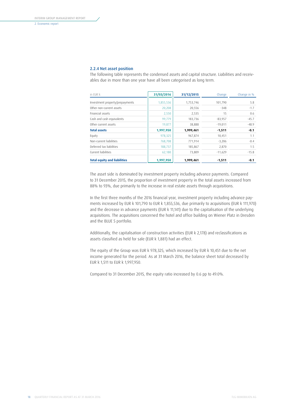### 2.2.4 Net asset position

The following table represents the condensed assets and capital structure. Liabilities and receivables due in more than one year have all been categorised as long term.

| in EUR k                            | 31/03/2016 | 31/12/2015 | Change    | Change in % |
|-------------------------------------|------------|------------|-----------|-------------|
| Investment property/prepayments     | 1,855,536  | 1,753,746  | 101.790   | 5.8         |
| Other non-current assets            | 20.208     | 20,556     | $-348$    | $-1.7$      |
| Financial assets                    | 2,550      | 2,535      | 15        | 0.6         |
| Cash and cash equivalents           | 99,779     | 183,736    | $-83,957$ | $-45.7$     |
| Other current assets                | 19,877     | 38,888     | $-19.011$ | $-48.9$     |
| <b>Total assets</b>                 | 1,997,950  | 1,999,461  | $-1,511$  | $-0.1$      |
| Equity                              | 978,325    | 967,874    | 10,451    | 1.1         |
| Non-current liabilities             | 768,708    | 771,914    | $-3.206$  | $-0.4$      |
| Deferred tax liabilities            | 188,737    | 185,867    | 2.870     | 1.5         |
| Current liabilities                 | 62,180     | 73,809     | $-11,629$ | $-15.8$     |
| <b>Total equity and liabilities</b> | 1,997,950  | 1,999,461  | $-1.511$  | -0.1        |

The asset side is dominated by investment property including advance payments. Compared to 31 December 2015, the proportion of investment property in the total assets increased from 88% to 93%, due primarily to the increase in real estate assets through acquisitions.

In the first three months of the 2016 financial year, investment property including advance payments increased by EUR k 101,790 to EUR k 1,855,536, due primarily to acquisitions (EUR k 111,970) and the decrease in advance payments (EUR k 11,141) due to the capitalisation of the underlying acquisitions. The acquisitions concerned the hotel and office building on Wiener Platz in Dresden and the BLUE 5 portfolio.

Additionally, the capitalisation of construction activities (EUR k 2,178) and reclassifications as assets classified as held for sale (EUR k 1,881) had an effect.

The equity of the Group was EUR k 978,325, which increased by EUR k 10,451 due to the net income generated for the period. As at 31 March 2016, the balance sheet total decreased by EUR k 1,511 to EUR k 1,997,950.

Compared to 31 December 2015, the equity ratio increased by 0.6 pp to 49.0%.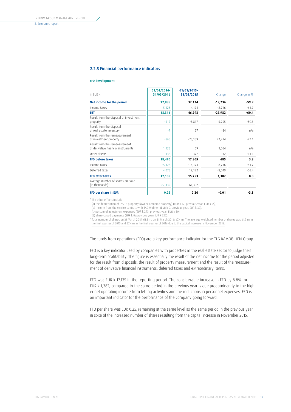### 2.2.5 Financial performance indicators

#### **FFO development**

| in EUR k                                                             | 01/01/2016-<br>31/03/2016 | 01/01/2015-<br>31/03/2015 | Change    | Change in % |
|----------------------------------------------------------------------|---------------------------|---------------------------|-----------|-------------|
| Net income for the period                                            | 12,888                    | 32,124                    | $-19,236$ | $-59.9$     |
| Income taxes                                                         | 5,428                     | 14,174                    | $-8.746$  | $-61.7$     |
| <b>EBT</b>                                                           | 18,316                    | 46,298                    | $-27,982$ | $-60.4$     |
| Result from the disposal of investment<br>property                   | $-612$                    | $-5,817$                  | 5,205     | $-89.5$     |
| Result from the disposal<br>of real estate inventory                 | $-7$                      | 27                        | $-34$     | n/a         |
| Result from the remeasurement<br>of investment property              | $-665$                    | $-23,139$                 | 22,474    | $-97.1$     |
| Result from the remeasurement<br>of derivative financial instruments | 1,123                     | 59                        | 1.064     | n/a         |
| Other effects <sup>1</sup>                                           | 335                       | 377                       | $-42$     | $-11.1$     |
| <b>FFO before taxes</b>                                              | 18,490                    | 17,805                    | 685       | 3.8         |
| Income taxes                                                         | $-5,428$                  | $-14,174$                 | 8,746     | $-61.7$     |
| Deferred taxes                                                       | 4,073                     | 12,122                    | $-8,049$  | $-66.4$     |
| <b>FFO after taxes</b>                                               | 17,135                    | 15,753                    | 1,382     | 8.8         |
| Average number of shares on issue<br>(in thousands) <sup>2</sup>     | 67,432                    | 61,302                    |           |             |
| FFO per share in EUR                                                 | 0.25                      | 0.26                      | $-0.01$   | $-3.8$      |

1 The other effects include

(a) the depreciation of IAS 16 property (owner-occupied property) (EUR k 42; previous year: EUR k 55), (b) income from the service contract with TAG Wohnen (EUR k 0; previous year: EUR k 30),

(c) personnel adjustment expenses (EUR k 293; previous year: EUR k 30),

(d) share-based payments (EUR k 0; previous year: EUR k 322).

2 Total number of shares on 31 March 2015: 61.3 m, on 31 March 2016: 67.4 m. The average weighted number of shares was 61.3 m in the first quarter of 2015 and 67.4 m in the first quarter of 2016 due to the capital increase in November 2015.

## The funds from operations (FFO) are a key performance indicator for the TLG IMMOBILIEN Group.

FFO is a key indicator used by companies with properties in the real estate sector to judge their long-term profitability. The figure is essentially the result of the net income for the period adjusted for the result from disposals, the result of property measurement and the result of the measurement of derivative financial instruments, deferred taxes and extraordinary items.

FFO was EUR k 17,135 in the reporting period. The considerable increase in FFO by 8.8%, or EUR k 1,382, compared to the same period in the previous year is due predominantly to the higher net operating income from letting activities and the reductions in personnel expenses. FFO is an important indicator for the performance of the company going forward.

FFO per share was EUR 0.25, remaining at the same level as the same period in the previous year in spite of the increased number of shares resulting from the capital increase in November 2015.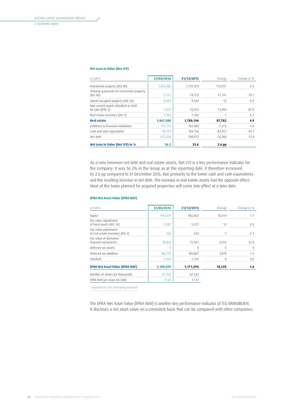### <span id="page-21-0"></span>**Net Loan to Value (Net LTV)**

| in FUR k                                                   | 31/03/2016 | 31/12/2015 | Change    | Change in % |
|------------------------------------------------------------|------------|------------|-----------|-------------|
| Investment property (IAS 40)                               | 1,852,405  | 1,739,474  | 112.931   | 6.5         |
| Advance payments on investment property<br>(IAS 40)        | 3,131      | 14,272     | $-11,141$ | $-78.1$     |
| Owner-occupied property (IAS 16)                           | 9,329      | 9,344      | $-15$     | $-0.2$      |
| Non-current assets classified as held<br>for sale (IFRS 5) | 1.919      | 15.912     | $-13,993$ | $-87.9$     |
| Real estate inventory (IAS 2)                              | 1,103      | 1.104      | $-1$      | $-0.1$      |
| <b>Real estate</b>                                         | 1,867,888  | 1,780,106  | 87,782    | 4.9         |
| Liabilities to financial institutions                      | 775,115    | 782,688    | $-7,573$  | $-1.0$      |
| Cash and cash equivalents                                  | 99,779     | 183,736    | $-83,957$ | $-45.7$     |
| Net debt                                                   | 675,336    | 598,952    | 76,384    | 12.8        |
| Net Loan to Value (Net LTV) in %                           | 36.2       | 33.6       | 2.6 pp    |             |

As a ratio between net debt and real estate assets, Net LTV is a key performance indicator for the company. It was 36.2% in the Group as at the reporting date. It therefore increased by 2.6 pp compared to 31 December 2015, due primarily to the lower cash and cash equivalents and the resulting increase in net debt. The increase in real estate assets had the opposite effect. Most of the loans planned for acquired properties will come into effect at a later date.

### **EPRA Net Asset Value (EPRA NAV)**

| in EUR k                                                  | 31/03/2016 | 31/12/2015   | Change   | Change in % |
|-----------------------------------------------------------|------------|--------------|----------|-------------|
| Equity <sup>1</sup>                                       | 975,479    | 965,065      | 10,414   | 1.1         |
| Fair value adjustment<br>of fixed assets (IAS 16)         | 5,587      | 5,572        | 15       | 0.3         |
| Fair value adjustment<br>of real estate inventory (IAS 2) | 326        | 333          | $-7$     | $-2.1$      |
| Fair value of derivative<br>financial instruments         | 20,864     | 15,921       | 4,943    | 31.0        |
| Deferred tax assets                                       | 0          | $\mathbf{0}$ | $\theta$ | $\Omega$    |
| Deferred tax liabilities                                  | 188,737    | 185,867      | 2,870    | 1.5         |
| Goodwill                                                  | $-1,164$   | $-1,164$     | $\theta$ | 0.0         |
| <b>EPRA Net Asset Value (EPRA NAV)</b>                    | 1,189,829  | 1,171,594    | 18,235   | 1.6         |
| Number of shares (in thousands)                           | 67,432     | 67,432       |          |             |
| EPRA NAV per share (in EUR)                               | 17.64      | 17.37        |          |             |

1 Adjusted for non-controlling interests

The EPRA Net Asset Value (EPRA NAV) is another key performance indicator of TLG IMMOBILIEN. It discloses a net asset value on a consistent basis that can be compared with other companies.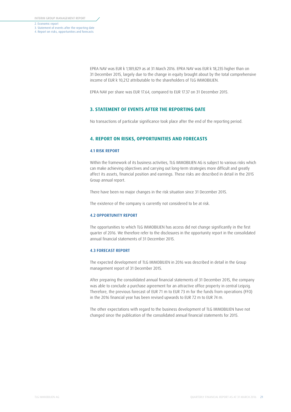3. Statement of events after the reporting date

#### 4. Report on risks, opportunities and forecasts

EPRA NAV was EUR k 1,189,829 as at 31 March 2016. EPRA NAV was EUR k 18,235 higher than on 31 December 2015, largely due to the change in equity brought about by the total comprehensive income of EUR k 10,212 attributable to the shareholders of TLG IMMOBILIEN.

EPRA NAV per share was EUR 17.64, compared to EUR 17.37 on 31 December 2015.

## **3. STATEMENT OF EVENTS AFTER THE REPORTING DATE**

No transactions of particular significance took place after the end of the reporting period.

# **4. REPORT ON RISKS, OPPORTUNITIES AND FORECASTS**

#### 4.1 RISK REPORT

Within the framework of its business activities, TLG IMMOBILIEN AG is subject to various risks which can make achieving objectives and carrying out long-term strategies more difficult and greatly affect its assets, financial position and earnings. These risks are described in detail in the 2015 Group annual report.

There have been no major changes in the risk situation since 31 December 2015.

The existence of the company is currently not considered to be at risk.

#### 4.2 OPPORTUNITY REPORT

The opportunities to which TLG IMMOBILIEN has access did not change significantly in the first quarter of 2016. We therefore refer to the disclosures in the opportunity report in the consolidated annual financial statements of 31 December 2015.

## 4.3 FORECAST REPORT

The expected development of TLG IMMOBILIEN in 2016 was described in detail in the Group management report of 31 December 2015.

After preparing the consolidated annual financial statements of 31 December 2015, the company was able to conclude a purchase agreement for an attractive office property in central Leipzig. Therefore, the previous forecast of EUR 71 m to EUR 73 m for the funds from operations (FFO) in the 2016 financial year has been revised upwards to EUR 72 m to EUR 74 m.

The other expectations with regard to the business development of TLG IMMOBILIEN have not changed since the publication of the consolidated annual financial statements for 2015.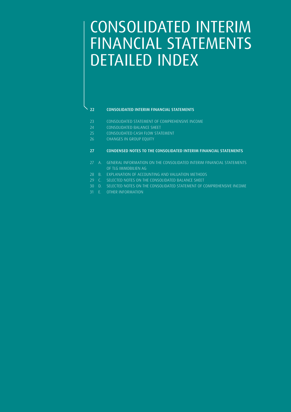# CONSOLIDATED INTERIM FINANCIAL STATEMENTS DETAILED INDEX

# 22 CONSOLIDATED INTERIM FINANCIAL STATEMENTS

- 23 CONSOLIDATED STATEMENT OF COMPREHENSIVE INCOME
- 24 CONSOLIDATED BALANCE SHEET
- 25 CONSOLIDATED CASH FLOW STATEMENT
- 26 CHANGES IN GROUP EQUITY

## 27 CONDENSED NOTES TO THE CONSOLIDATED INTERIM FINANCIAL STATEMENTS

- 27 A. GENERAL INFORMATION ON THE CONSOLIDATED INTERIM FINANCIAL STATEMENTS OF TLG IMMOBILIEN AG
- 28 B. EXPLANATION OF ACCOUNTING AND VALUATION METHODS
- 29 C. SELECTED NOTES ON THE CONSOLIDATED BALANCE SHEET
- 30 D. SELECTED NOTES ON THE CONSOLIDATED STATEMENT OF COMPREHENSIVE INCOME
- 31 E. OTHER INFORMATION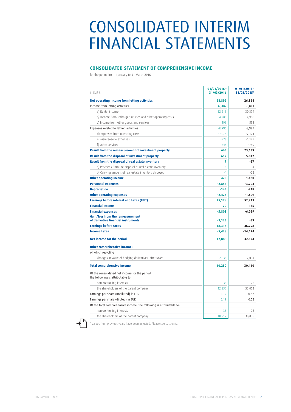# CONSOLIDATED INTERIM FINANCIAL STATEMENTS

# **CONSOLIDATED STATEMENT OF COMPREHENSIVE INCOME**

for the period from 1 January to 31 March 2016

| in EUR k                                                                            | $01/01/2016 -$<br>31/03/2016 | $01/01/2015 -$<br>31/03/20151 |
|-------------------------------------------------------------------------------------|------------------------------|-------------------------------|
| <b>Net operating income from letting activities</b>                                 | 28,892                       | 26,854                        |
| Income from letting activities                                                      | 37,487                       | 35,841                        |
| a) Rental income                                                                    | 32,513                       | 30,374                        |
| b) Income from recharged utilities and other operating costs                        | 4,781                        | 4,916                         |
| c) Income from other goods and services                                             | 193                          | 551                           |
| Expenses related to letting activities                                              | $-8,595$                     | $-8,987$                      |
| d) Expenses from operating costs                                                    | $-7,074$                     | $-7,121$                      |
| e) Maintenance expenses                                                             | $-978$                       | $-1,127$                      |
| f) Other services                                                                   | $-543$                       | $-739$                        |
| Result from the remeasurement of investment property                                | 665                          | 23,139                        |
| <b>Result from the disposal of investment property</b>                              | 612                          | 5,817                         |
| Result from the disposal of real estate inventory                                   | 7                            | $-27$                         |
| a) Proceeds from the disposal of real estate inventory                              | 8                            | $-4$                          |
| b) Carrying amount of real estate inventory disposed                                | $-1$                         | $-23$                         |
| <b>Other operating income</b>                                                       | 425                          | 1,460                         |
| <b>Personnel expenses</b>                                                           | $-2,854$                     | $-3,204$                      |
| <b>Depreciation</b>                                                                 | $-143$                       | $-218$                        |
| <b>Other operating expenses</b>                                                     | $-2,426$                     | $-1,609$                      |
| <b>Earnings before interest and taxes (EBIT)</b>                                    | 25,178                       | 52,211                        |
| <b>Financial income</b>                                                             | 70                           | 175                           |
| <b>Financial expenses</b>                                                           | $-5,808$                     | $-6,029$                      |
| <b>Gain/loss from the remeasurement</b><br>of derivative financial instruments      | $-1,123$                     | -59                           |
| <b>Earnings before taxes</b>                                                        | 18,316                       | 46,298                        |
| <b>Income taxes</b>                                                                 | $-5,428$                     | $-14,174$                     |
| <b>Net income for the period</b>                                                    | 12,888                       | 32,124                        |
| Other comprehensive income:                                                         |                              |                               |
| of which recycling                                                                  |                              |                               |
| Changes in value of hedging derivatives, after taxes                                | $-2,638$                     | $-2,014$                      |
| <b>Total comprehensive income</b>                                                   | 10,250                       | 30,110                        |
| Of the consolidated net income for the period,<br>the following is attributable to: |                              |                               |
| non-controlling interests                                                           | 38                           | 72                            |
| the shareholders of the parent company                                              | 12,850                       | 32,052                        |
| Earnings per share (undiluted) in EUR                                               | 0.19                         | 0.52                          |
| Earnings per share (diluted) in EUR                                                 | 0.19                         | 0.52                          |
| Of the total comprehensive income, the following is attributable to:                |                              |                               |
| non-controlling interests                                                           | 38                           | 72                            |
| the shareholders of the parent company                                              | 10,212                       | 30,038                        |

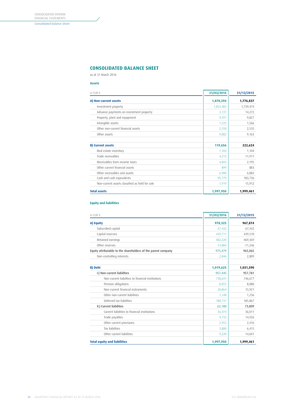# **CONSOLIDATED BALANCE SHEET**

as at 31 March 2016

## **Assets**

| in EUR k                                       | 31/03/2016 | 31/12/2015 |
|------------------------------------------------|------------|------------|
| A) Non-current assets                          | 1,878,294  | 1,776,837  |
| Investment property                            | 1,852,405  | 1,739,474  |
| Advance payments on investment property        | 3,131      | 14,272     |
| Property, plant and equipment                  | 9,591      | 9,827      |
| Intangible assets                              | 1,535      | 1,566      |
| Other non-current financial assets             | 2,550      | 2,535      |
| Other assets                                   | 9,082      | 9,163      |
| <b>B) Current assets</b>                       | 119,656    | 222,624    |
| Real estate inventory                          | 1.103      | 1,104      |
| Trade receivables                              | 4,213      | 11,911     |
| Receivables from income taxes                  | 4,843      | 2,195      |
| Other current financial assets                 | 899        | 883        |
| Other receivables and assets                   | 6,900      | 6,883      |
| Cash and cash equivalents                      | 99,779     | 183,736    |
| Non-current assets classified as held for sale | 1,919      | 15,912     |
| <b>Total assets</b>                            | 1,997,950  | 1,999,461  |

## **Equity and liabilities**

| in EUR k                                                      | 31/03/2016 | 31/12/2015 |
|---------------------------------------------------------------|------------|------------|
| A) Equity                                                     | 978,325    | 967,874    |
| Subscribed capital                                            | 67,432     | 67,432     |
| Capital reserves                                              | 439,711    | 439,510    |
| Retained earnings                                             | 482,220    | 469,369    |
| Other reserves                                                | $-13,884$  | $-11,246$  |
| Equity attributable to the shareholders of the parent company | 975,479    | 965,065    |
| Non-controlling interests                                     | 2,846      | 2,809      |
| <b>B)</b> Debt                                                | 1,019,625  | 1,031,590  |
| I.) Non-current liabilities                                   | 957,445    | 957,781    |
| Non-current liabilities to financial institutions             | 738,641    | 746,677    |
| Pension obligations                                           | 8,055      | 8,080      |
| Non-current financial instruments                             | 20,864     | 15,921     |
| Other non-current liabilities                                 | 1,148      | 1,236      |
| Deferred tax liabilities                                      | 188,737    | 185,867    |
| II.) Current liabilities                                      | 62,180     | 73,809     |
| Current liabilities to financial institutions                 | 36,474     | 36,011     |
| Trade payables                                                | 9,733      | 14,926     |
| Other current provisions                                      | 2,953      | 2,416      |
| <b>Tax liabilities</b>                                        | 3,800      | 6,415      |
| Other current liabilities                                     | 9,220      | 14,041     |
| <b>Total equity and liabilities</b>                           | 1,997,950  | 1,999,461  |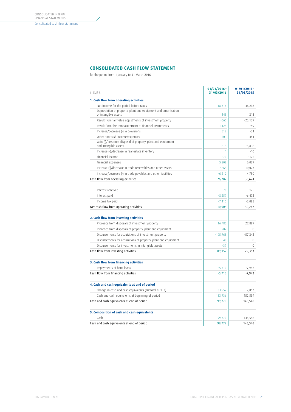# **CONSOLIDATED CASH FLOW STATEMENT**

for the period from 1 January to 31 March 2016

| in EUR k                                                                               | 01/01/2016-<br>31/03/2016 | $01/01/2015 -$<br>31/03/2015 |
|----------------------------------------------------------------------------------------|---------------------------|------------------------------|
| 1. Cash flow from operating activities                                                 |                           |                              |
| Net income for the period before taxes                                                 | 18,316                    | 46,298                       |
| Depreciation of property, plant and equipment and amortisation<br>of intangible assets | 143                       | 218                          |
| Result from fair value adjustments of investment property                              | $-665$                    | $-23,139$                    |
| Result from the remeasurement of financial instruments                                 | 1,123                     | $-59$                        |
| Increase/decrease (-) in provisions                                                    | 512                       | $-31$                        |
| Other non-cash income/expenses                                                         | 201                       | 481                          |
| Gain (-)/loss from disposal of property, plant and equipment<br>and intangible assets  | $-613$                    | $-5,816$                     |
| Increase (-)/decrease in real estate inventory                                         | 1                         | $-10$                        |
| Financial income                                                                       | $-70$                     | $-175$                       |
| Financial expenses                                                                     | 5,808                     | 6,029                        |
| Increase (-)/decrease in trade receivables and other assets                            | 7,663                     | 10,077                       |
| Increase/decrease (-) in trade payables and other liabilities                          | $-6,212$                  | 4,750                        |
| Cash flow from operating activities                                                    | 26,207                    | 38,624                       |
|                                                                                        |                           |                              |
| Interest received                                                                      | 70                        | 175                          |
| Interest paid                                                                          | $-8,257$                  | $-6,472$                     |
| Income tax paid                                                                        | $-7,115$                  | $-2,085$                     |
| Net cash flow from operating activities                                                | 10,905                    | 30,242                       |
| 2. Cash flow from investing activities                                                 |                           |                              |
| Proceeds from disposals of investment property                                         | 16,486                    | 27,889                       |
| Proceeds from disposals of property, plant and equipment                               | 202                       | $\Omega$                     |
| Disbursements for acquisitions of investment property                                  | $-105,763$                | $-57.242$                    |
| Disbursements for acquisitions of property, plant and equipment                        | $-40$                     | $\Omega$                     |
| Disbursements for investments in intangible assets                                     | $-37$                     | $\Omega$                     |
| Cash flow from investing activities                                                    | $-89,152$                 | $-29,353$                    |
|                                                                                        |                           |                              |
| 3. Cash flow from financing activities                                                 |                           |                              |
| Repayments of bank loans                                                               | $-5,710$                  | $-7,942$                     |
| Cash flow from financing activities                                                    | $-5,710$                  | $-7,942$                     |
| 4. Cash and cash equivalents at end of period                                          |                           |                              |
| Change in cash and cash equivalents (subtotal of 1-3)                                  | $-83,957$                 | $-7,053$                     |
| Cash and cash equivalents at beginning of period                                       | 183,736                   | 152,599                      |
| Cash and cash equivalents at end of period                                             | 99,779                    | 145,546                      |
| 5. Composition of cash and cash equivalents                                            |                           |                              |
| Cash                                                                                   | 99,779                    | 145,546                      |
| Cash and cash equivalents at end of period                                             | 99,779                    | 145,546                      |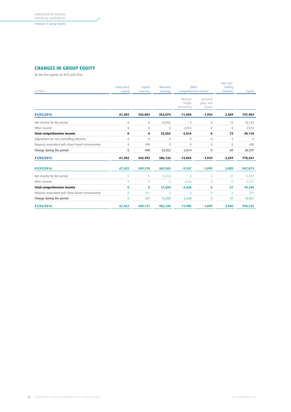Changes in group equity

# **CHANGES IN GROUP EQUITY**

for the first quarter of 2015 and 2016

| in EUR k                                          | Subscribed<br>capital | Capital<br>reserves | Retained<br>earnings | Other<br>comprehensive income  |                                  | Non-con-<br>trolling<br>interests | Equity   |
|---------------------------------------------------|-----------------------|---------------------|----------------------|--------------------------------|----------------------------------|-----------------------------------|----------|
|                                                   |                       |                     |                      | Reserve<br>hedge<br>accounting | Actuarial<br>gains and<br>losses |                                   |          |
| 01/01/2015                                        | 61,302                | 343,003             | 354,074              | $-11,050$                      | $-1,934$                         | 2,569                             | 747,964  |
| Net income for the period                         | $\boldsymbol{0}$      | $\boldsymbol{0}$    | 32,052               | $\mathbf{0}$                   | $\mathbf{0}$                     | 72                                | 32,124   |
| Other income                                      | $\Omega$              | $\Omega$            | $\Omega$             | $-2,014$                       | $\Omega$                         | $\Omega$                          | $-2,014$ |
| <b>Total comprehensive income</b>                 | 0                     | 0                   | 32,052               | $-2,014$                       | 0                                | 72                                | 30,110   |
| Adjustment for non-controlling interests          | $\mathbf{0}$          | $\mathbf{0}$        | $\boldsymbol{0}$     | $\mathbf{0}$                   | $\mathbf{0}$                     | $-3$                              | $-3$     |
| Deposits associated with share-based remuneration | $\mathbf{0}$          | 490                 | $\overline{0}$       | $\Omega$                       | $\mathbf{0}$                     | $\mathbf{0}$                      | 490      |
| Change during the period                          | $\mathbf 0$           | 490                 | 32,052               | $-2,014$                       | 0                                | 69                                | 30,597   |
| 31/03/2015                                        | 61,302                | 343,493             | 386,126              | $-13,065$                      | $-1,934$                         | 2,639                             | 778,561  |
| 01/01/2016                                        | 67,432                | 439,510             | 469,369              | $-9,347$                       | $-1,899$                         | 2,809                             | 967,874  |
| Net income for the period                         | $\overline{0}$        | $\mathbf{0}$        | 12,850               | 0                              | $\mathbf{0}$                     | 37                                | 12,887   |
| Other income                                      | $\Omega$              | $\theta$            | $\Omega$             | $-2,638$                       | $\overline{0}$                   | $\Omega$                          | $-2,637$ |
| <b>Total comprehensive income</b>                 | $\bf{0}$              | 0                   | 12,850               | $-2,638$                       | 0                                | 37                                | 10,250   |
| Deposits associated with share-based remuneration | $\Omega$              | 201                 | $\overline{0}$       | $\Omega$                       | $\overline{0}$                   | $\Omega$                          | 201      |
| Change during the period                          | $\bf{0}$              | 201                 | 12,850               | $-2,638$                       | 0                                | 37                                | 10,451   |
| 31/03/2016                                        | 67,432                | 439,711             | 482,220              | $-11,985$                      | $-1,899$                         | 2,846                             | 978,325  |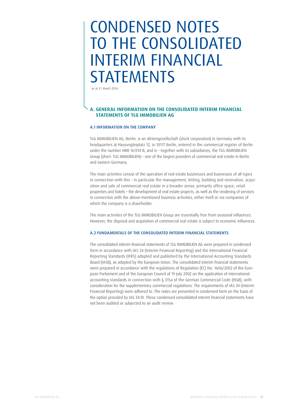# CONDENSED NOTES TO THE CONSOLIDATED INTERIM FINANCIAL **STATEMENTS**

as at 31 March 2016

# **A. GENERAL INFORMATION ON THE CONSOLIDATED INTERIM FINANCIAL STATEMENTS OF TLG IMMOBILIEN AG**

# A.1 INFORMATION ON THE COMPANY

TLG IMMOBILIEN AG, Berlin, is an Aktiengesellschaft (stock corporation) in Germany with its headquarters at Hausvogteiplatz 12, in 10117 Berlin, entered in the commercial register of Berlin under the number HRB 161314 B, and is – together with its subsidiaries, the TLG IMMOBILIEN Group (short: TLG IMMOBILIEN) – one of the largest providers of commercial real estate in Berlin and eastern Germany.

The main activities consist of the operation of real estate businesses and businesses of all types in connection with this – in particular the management, letting, building and renovation, acquisition and sale of commercial real estate in a broader sense, primarily office space, retail properties and hotels – the development of real estate projects, as well as the rendering of services in connection with the above-mentioned business activities, either itself or via companies of which the company is a shareholder.

The main activities of the TLG IMMOBILIEN Group are essentially free from seasonal influences. However, the disposal and acquisition of commercial real estate is subject to economic influences.

# A.2 FUNDAMENTALS OF THE CONSOLIDATED INTERIM FINANCIAL STATEMENTS

The consolidated interim financial statements of TLG IMMOBILIEN AG were prepared in condensed form in accordance with IAS 34 (Interim Financial Reporting) and the International Financial Reporting Standards (IFRS) adopted and published by the International Accounting Standards Board (IASB), as adopted by the European Union. The consolidated interim financial statements were prepared in accordance with the regulations of Regulation (EC) No. 1606/2002 of the European Parliament and of the European Council of 19 July 2002 on the application of international accounting standards in connection with § 315a of the German Commercial Code (HGB), with consideration for the supplementary commercial regulations. The requirements of IAS 34 (Interim Financial Reporting) were adhered to. The notes are presented in condensed form on the basis of the option provided by IAS 34.10. These condensed consolidated interim financial statements have not been audited or subjected to an audit review.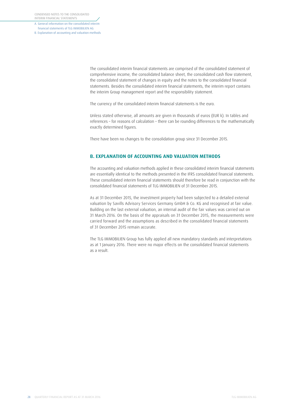A. General information on the consolidated interim financial statements of TLG IMMOBILIEN AG B. Explanation of accounting and valuation methods

> The consolidated interim financial statements are comprised of the consolidated statement of comprehensive income, the consolidated balance sheet, the consolidated cash flow statement, the consolidated statement of changes in equity and the notes to the consolidated financial statements. Besides the consolidated interim financial statements, the interim report contains the interim Group management report and the responsibility statement.

The currency of the consolidated interim financial statements is the euro.

Unless stated otherwise, all amounts are given in thousands of euros (EUR k). In tables and references – for reasons of calculation – there can be rounding differences to the mathematically exactly determined figures.

There have been no changes to the consolidation group since 31 December 2015.

# **B. EXPLANATION OF ACCOUNTING AND VALUATION METHODS**

The accounting and valuation methods applied in these consolidated interim financial statements are essentially identical to the methods presented in the IFRS consolidated financial statements. These consolidated interim financial statements should therefore be read in conjunction with the consolidated financial statements of TLG IMMOBILIEN of 31 December 2015.

As at 31 December 2015, the investment property had been subjected to a detailed external valuation by Savills Advisory Services Germany GmbH & Co. KG and recognised at fair value. Building on the last external valuation, an internal audit of the fair values was carried out on 31 March 2016. On the basis of the appraisals on 31 December 2015, the measurements were carried forward and the assumptions as described in the consolidated financial statements of 31 December 2015 remain accurate.

The TLG IMMOBILIEN Group has fully applied all new mandatory standards and interpretations as at 1 January 2016. There were no major effects on the consolidated financial statements as a result.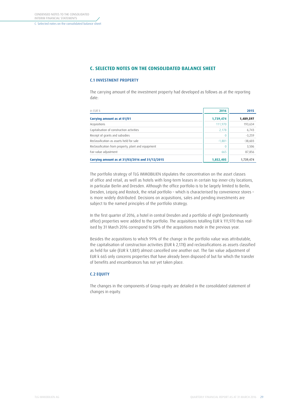# **C. SELECTED NOTES ON THE CONSOLIDATED BALANCE SHEET**

### C.1 INVESTMENT PROPERTY

The carrying amount of the investment property had developed as follows as at the reporting date:

| in FUR k                                            | 2016      | 2015      |
|-----------------------------------------------------|-----------|-----------|
| Carrying amount as at 01/01                         | 1,739,474 | 1,489,597 |
| Acquisitions                                        | 111,970   | 193,634   |
| Capitalisation of construction activities           | 2,178     | 6,743     |
| Receipt of grants and subsidies                     | $\theta$  | $-3,259$  |
| Reclassification as assets held for sale            | $-1,881$  | $-38,603$ |
| Reclassification from property, plant and equipment | $\theta$  | 3,506     |
| Fair value adjustment                               | 665       | 87,856    |
| Carrying amount as at 31/03/2016 and 31/12/2015     | 1,852,405 | 1,739,474 |

The portfolio strategy of TLG IMMOBILIEN stipulates the concentration on the asset classes of office and retail, as well as hotels with long-term leases in certain top inner-city locations, in particular Berlin and Dresden. Although the office portfolio is to be largely limited to Berlin, Dresden, Leipzig and Rostock, the retail portfolio – which is characterised by convenience stores – is more widely distributed. Decisions on acquisitions, sales and pending investments are subject to the named principles of the portfolio strategy.

In the first quarter of 2016, a hotel in central Dresden and a portfolio of eight (predominantly office) properties were added to the portfolio. The acquisitions totalling EUR k 111,970 thus realised by 31 March 2016 correspond to 58% of the acquisitions made in the previous year.

Besides the acquisitions to which 99% of the change in the portfolio value was attributable, the capitalisation of construction activities (EUR k 2,178) and reclassifications as assets classified as held for sale (EUR k 1,881) almost cancelled one another out. The fair value adjustment of EUR k 665 only concerns properties that have already been disposed of but for which the transfer of benefits and encumbrances has not yet taken place.

## C.2 EQUITY

The changes in the components of Group equity are detailed in the consolidated statement of changes in equity.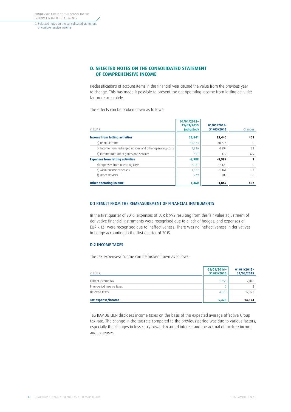<span id="page-31-0"></span>CONDENSED NOTES TO THE CONSOLIDATED INTERIM FINANCIAL STATEMENTS

D. Selected notes on the consolidated statement of comprehensive income

# **D. SELECTED NOTES ON THE CONSOLIDATED STATEMENT OF COMPREHENSIVE INCOME**

Reclassifications of account items in the financial year caused the value from the previous year to change. This has made it possible to present the net operating income from letting activities far more accurately.

The effects can be broken down as follows:

| in FUR k                                                     | $01/01/2015 -$<br>31/03/2015<br>(adjusted) | 01/01/2015<br>31/03/2015 | Changes  |
|--------------------------------------------------------------|--------------------------------------------|--------------------------|----------|
| <b>Income from letting activities</b>                        | 35,841                                     | 35,440                   | 401      |
| a) Rental income                                             | 30,374                                     | 30,374                   | O        |
| b) Income from recharged utilities and other operating costs | 4.916                                      | 4.894                    | 22       |
| c) Income from other goods and services                      | 551                                        | 172                      | 379      |
| <b>Expenses from letting activities</b>                      | $-8,988$                                   | -8,989                   |          |
| d) Expenses from operating costs                             | $-7.121$                                   | $-7.121$                 | $\Omega$ |
| e) Maintenance expenses                                      | $-1.127$                                   | $-1.164$                 | 37       |
| f) Other services                                            | $-739$                                     | $-703$                   | $-36$    |
| <b>Other operating income</b>                                | 1,460                                      | 1,862                    | -402     |

### D.1 RESULT FROM THE REMEASUREMENT OF FINANCIAL INSTRUMENTS

In the first quarter of 2016, expenses of EUR k 992 resulting from the fair value adjustment of derivative financial instruments were recognised due to a lack of hedges, and expenses of EUR k 131 were recognised due to ineffectiveness. There was no ineffectiveness in derivatives in hedge accounting in the first quarter of 2015.

## D.2 INCOME TAXES

The tax expenses/income can be broken down as follows:

| in EUR k                  | $01/01/2016 -$<br>31/03/2016 | $01/01/2015 -$<br>31/03/2015 |
|---------------------------|------------------------------|------------------------------|
| Current income tax        | 1,355                        | 2,048                        |
| Prior-period income taxes |                              |                              |
| Deferred taxes            | 4,073                        | 12,122                       |
| Tax expense/income        | 5,428                        | 14,174                       |

TLG IMMOBILIEN discloses income taxes on the basis of the expected average effective Group tax rate. The change in the tax rate compared to the previous period was due to various factors, especially the changes in loss carryforwards/carried interest and the accrual of tax-free income and expenses.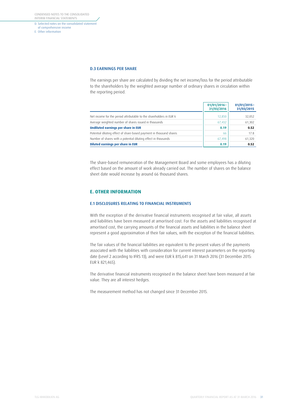CONDENSED NOTES TO THE CONSOLIDATED INTERIM FINANCIAL STATEMENTS

D. Selected notes on the consolidated statement of comprehensive income E. Other information

#### D.3 EARNINGS PER SHARE

The earnings per share are calculated by dividing the net income/loss for the period attributable to the shareholders by the weighted average number of ordinary shares in circulation within the reporting period.

|                                                                     | $01/01/2016 -$<br>31/03/2016 | $01/01/2015 -$<br>31/03/2015 |
|---------------------------------------------------------------------|------------------------------|------------------------------|
| Net income for the period attributable to the shareholders in EUR k | 12,850                       | 32,052                       |
| Average weighted number of shares issued in thousands               | 67,432                       | 61,302                       |
| Undiluted earnings per share in EUR                                 | 0.19                         | 0.52                         |
| Potential diluting effect of share-based payment in thousand shares | 66                           | 17.8                         |
| Number of shares with a potential diluting effect in thousands      | 67,498                       | 61,320                       |
| Diluted earnings per share in EUR                                   | 0.19                         | 0.52                         |

The share-based remuneration of the Management Board and some employees has a diluting effect based on the amount of work already carried out. The number of shares on the balance sheet date would increase by around 66 thousand shares.

# **E. OTHER INFORMATION**

## E.1 DISCLOSURES RELATING TO FINANCIAL INSTRUMENTS

With the exception of the derivative financial instruments recognised at fair value, all assets and liabilities have been measured at amortised cost. For the assets and liabilities recognised at amortised cost, the carrying amounts of the financial assets and liabilities in the balance sheet represent a good approximation of their fair values, with the exception of the financial liabilities.

The fair values of the financial liabilities are equivalent to the present values of the payments associated with the liabilities with consideration for current interest parameters on the reporting date (Level 2 according to IFRS 13), and were EUR k 815,641 on 31 March 2016 (31 December 2015: EUR k 821,465).

The derivative financial instruments recognised in the balance sheet have been measured at fair value. They are all interest hedges.

The measurement method has not changed since 31 December 2015.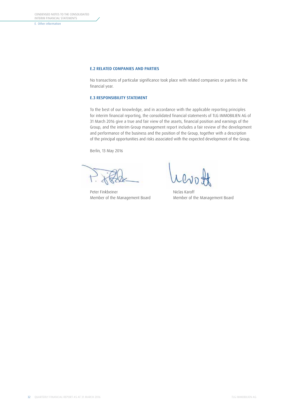E. Other information

## E.2 RELATED COMPANIES AND PARTIES

No transactions of particular significance took place with related companies or parties in the financial year.

## E.3 RESPONSIBILITY STATEMENT

To the best of our knowledge, and in accordance with the applicable reporting principles for interim financial reporting, the consolidated financial statements of TLG IMMOBILIEN AG of 31 March 2016 give a true and fair view of the assets, financial position and earnings of the Group, and the interim Group management report includes a fair review of the development and performance of the business and the position of the Group, together with a description of the principal opportunities and risks associated with the expected development of the Group.

Berlin, 13 May 2016

Peter Finkbeiner Niclas Karoff

Member of the Management Board Member of the Management Board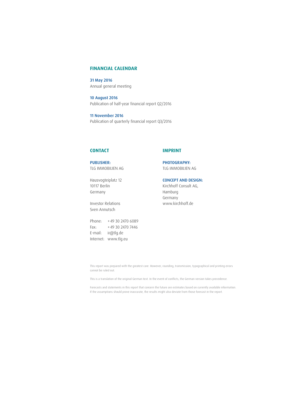# **FINANCIAL CALENDAR**

31 May 2016 Annual general meeting

10 August 2016 Publication of half-year financial report Q2/2016

11 November 2016 Publication of quarterly financial report Q3/2016

# **CONTACT**

# **IMPRINT**

PUBLISHER: TLG IMMOBILIEN AG

Hausvogteiplatz 12 10117 Berlin Germany

Investor Relations Sven Annutsch

Phone: +49 30 2470 6089 Fax: +49 30 2470 7446 E-mail: ir@tlg.de Internet: www.tlg.eu

PHOTOGRAPHY: TLG IMMOBILIEN AG

CONCEPT AND DESIGN: Kirchhoff Consult AG, Hamburg Germany www.kirchhoff.de

This report was prepared with the greatest care. However, rounding, transmission, typographical and printing errors cannot be ruled out.

This is a translation of the original German text. In the event of conflicts, the German version takes precedence.

Forecasts and statements in this report that concern the future are estimates based on currently available information. If the assumptions should prove inaccurate, the results might also deviate from those forecast in the report.